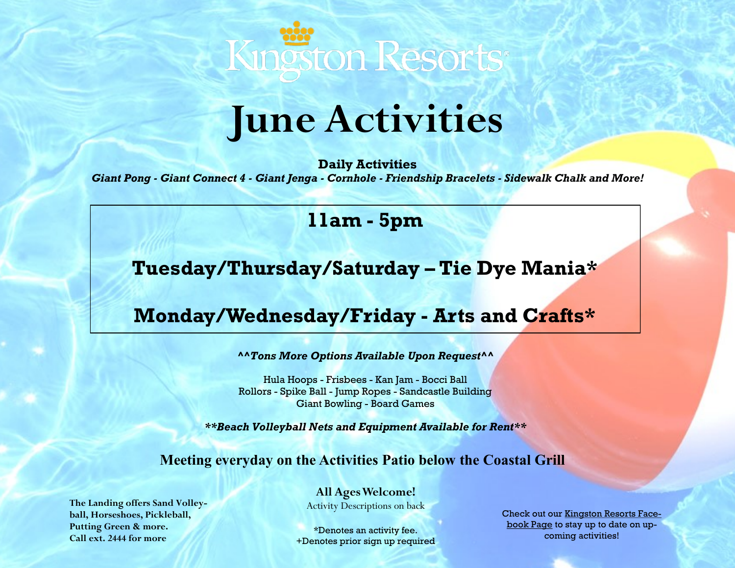

# **June Activities**

**Daily Activities** *Giant Pong - Giant Connect 4 - Giant Jenga - Cornhole - Friendship Bracelets - Sidewalk Chalk and More!*

### **11am - 5pm**

**Tuesday/Thursday/Saturday – Tie Dye Mania\***

## **Monday/Wednesday/Friday - Arts and Crafts\***

*^^Tons More Options Available Upon Request^^*

Hula Hoops - Frisbees - Kan Jam - Bocci Ball Rollors - Spike Ball - Jump Ropes - Sandcastle Building Giant Bowling - Board Games

*\*\*Beach Volleyball Nets and Equipment Available for Rent\*\**

**Meeting everyday on the Activities Patio below the Coastal Grill**

**All Ages Welcome!**

Activity Descriptions on back

\*Denotes an activity fee. +Denotes prior sign up required Check out our [Kingston Resorts Face](https://www.facebook.com/KingstonResorts/)[book Page](https://www.facebook.com/KingstonResorts/) to stay up to date on upcoming activities!

**The Landing offers Sand Volleyball, Horseshoes, Pickleball, Putting Green & more. Call ext. 2444 for more**